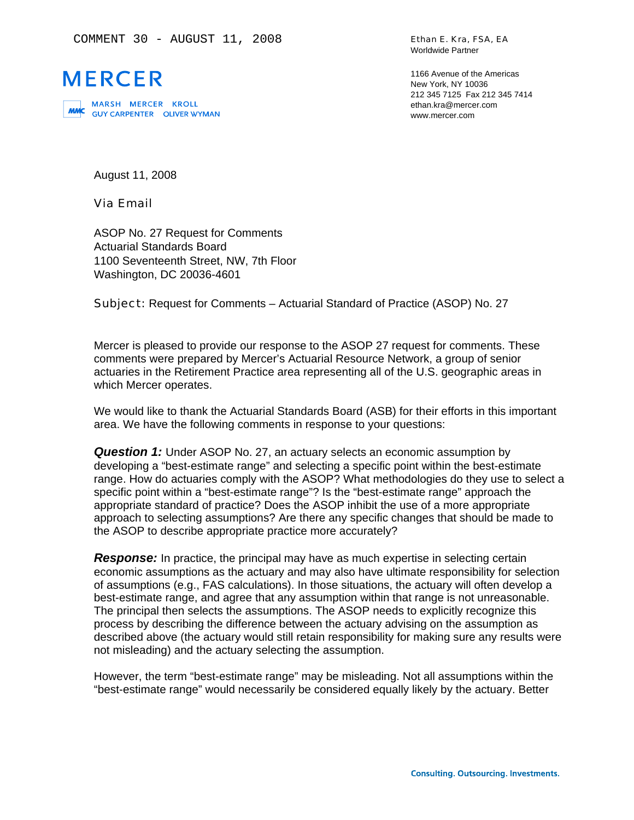

MARSH MERCER KROLL<br>**MMC** GUYCARPENTER OLIVERWYMAN

Ethan E. Kra, FSA, EA Worldwide Partner

1166 Avenue of the Americas New York, NY 10036 212 345 7125 Fax 212 345 7414 ethan.kra@mercer.com www.mercer.com

August 11, 2008

### Via Email

ASOP No. 27 Request for Comments Actuarial Standards Board 1100 Seventeenth Street, NW, 7th Floor Washington, DC 20036-4601

Subject: Request for Comments – Actuarial Standard of Practice (ASOP) No. 27

Mercer is pleased to provide our response to the ASOP 27 request for comments. These comments were prepared by Mercer's Actuarial Resource Network, a group of senior actuaries in the Retirement Practice area representing all of the U.S. geographic areas in which Mercer operates.

We would like to thank the Actuarial Standards Board (ASB) for their efforts in this important area. We have the following comments in response to your questions:

**Question 1:** Under ASOP No. 27, an actuary selects an economic assumption by developing a "best-estimate range" and selecting a specific point within the best-estimate range. How do actuaries comply with the ASOP? What methodologies do they use to select a specific point within a "best-estimate range"? Is the "best-estimate range" approach the appropriate standard of practice? Does the ASOP inhibit the use of a more appropriate approach to selecting assumptions? Are there any specific changes that should be made to the ASOP to describe appropriate practice more accurately?

**Response:** In practice, the principal may have as much expertise in selecting certain economic assumptions as the actuary and may also have ultimate responsibility for selection of assumptions (e.g., FAS calculations). In those situations, the actuary will often develop a best-estimate range, and agree that any assumption within that range is not unreasonable. The principal then selects the assumptions. The ASOP needs to explicitly recognize this process by describing the difference between the actuary advising on the assumption as described above (the actuary would still retain responsibility for making sure any results were not misleading) and the actuary selecting the assumption.

However, the term "best-estimate range" may be misleading. Not all assumptions within the "best-estimate range" would necessarily be considered equally likely by the actuary. Better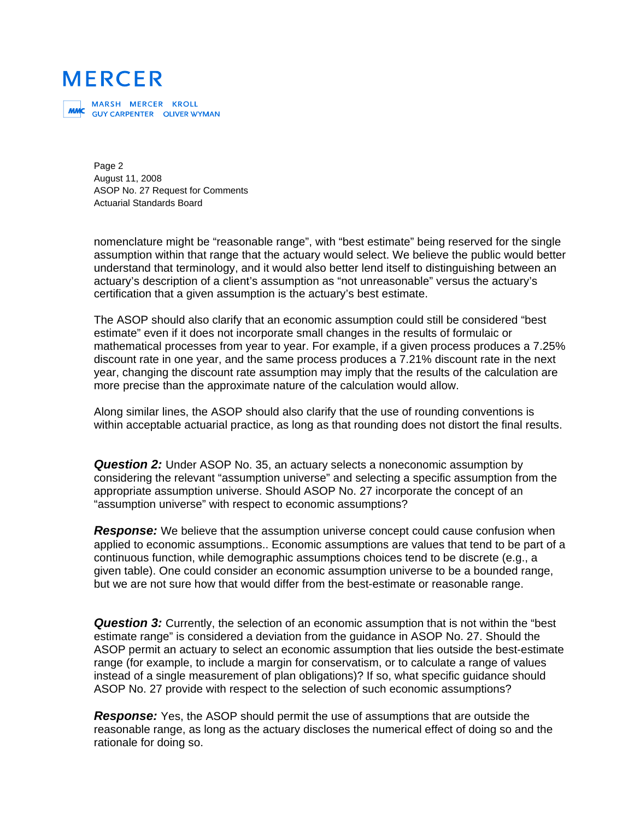MARSH MERCER KROLL<br>**MMC** GUYCARPENTER OLIVERWYMAN

Page 2 August 11, 2008 ASOP No. 27 Request for Comments Actuarial Standards Board

nomenclature might be "reasonable range", with "best estimate" being reserved for the single assumption within that range that the actuary would select. We believe the public would better understand that terminology, and it would also better lend itself to distinguishing between an actuary's description of a client's assumption as "not unreasonable" versus the actuary's certification that a given assumption is the actuary's best estimate.

The ASOP should also clarify that an economic assumption could still be considered "best estimate" even if it does not incorporate small changes in the results of formulaic or mathematical processes from year to year. For example, if a given process produces a 7.25% discount rate in one year, and the same process produces a 7.21% discount rate in the next year, changing the discount rate assumption may imply that the results of the calculation are more precise than the approximate nature of the calculation would allow.

Along similar lines, the ASOP should also clarify that the use of rounding conventions is within acceptable actuarial practice, as long as that rounding does not distort the final results.

*Question 2:* Under ASOP No. 35, an actuary selects a noneconomic assumption by considering the relevant "assumption universe" and selecting a specific assumption from the appropriate assumption universe. Should ASOP No. 27 incorporate the concept of an "assumption universe" with respect to economic assumptions?

**Response:** We believe that the assumption universe concept could cause confusion when applied to economic assumptions.. Economic assumptions are values that tend to be part of a continuous function, while demographic assumptions choices tend to be discrete (e.g., a given table). One could consider an economic assumption universe to be a bounded range, but we are not sure how that would differ from the best-estimate or reasonable range.

**Question 3:** Currently, the selection of an economic assumption that is not within the "best estimate range" is considered a deviation from the guidance in ASOP No. 27. Should the ASOP permit an actuary to select an economic assumption that lies outside the best-estimate range (for example, to include a margin for conservatism, or to calculate a range of values instead of a single measurement of plan obligations)? If so, what specific guidance should ASOP No. 27 provide with respect to the selection of such economic assumptions?

*Response:* Yes, the ASOP should permit the use of assumptions that are outside the reasonable range, as long as the actuary discloses the numerical effect of doing so and the rationale for doing so.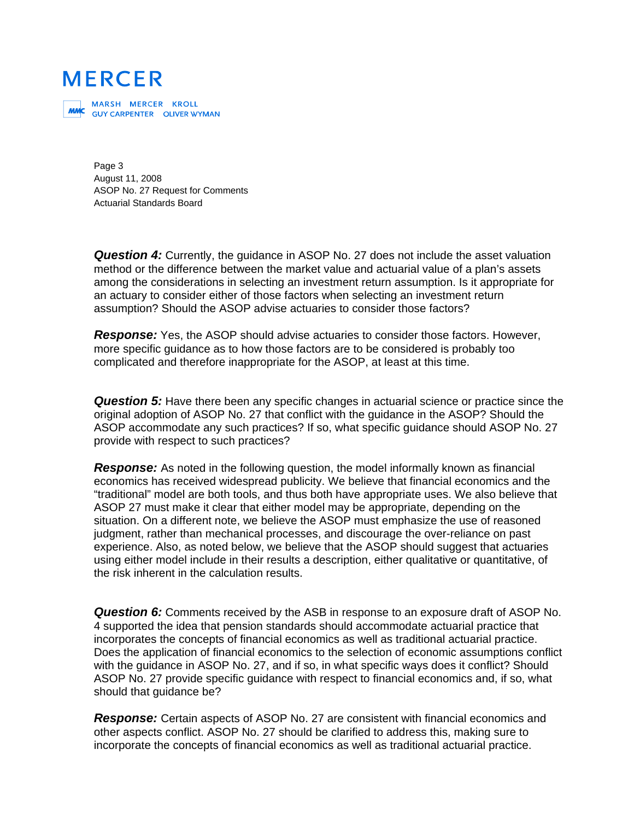MARSH MERCER KROLL<br>**MMC** GUYCARPENTER OLIVERWYMAN

Page 3 August 11, 2008 ASOP No. 27 Request for Comments Actuarial Standards Board

**Question 4:** Currently, the guidance in ASOP No. 27 does not include the asset valuation method or the difference between the market value and actuarial value of a plan's assets among the considerations in selecting an investment return assumption. Is it appropriate for an actuary to consider either of those factors when selecting an investment return assumption? Should the ASOP advise actuaries to consider those factors?

*Response:* Yes, the ASOP should advise actuaries to consider those factors. However, more specific guidance as to how those factors are to be considered is probably too complicated and therefore inappropriate for the ASOP, at least at this time.

*Question 5:* Have there been any specific changes in actuarial science or practice since the original adoption of ASOP No. 27 that conflict with the guidance in the ASOP? Should the ASOP accommodate any such practices? If so, what specific guidance should ASOP No. 27 provide with respect to such practices?

**Response:** As noted in the following question, the model informally known as financial economics has received widespread publicity. We believe that financial economics and the "traditional" model are both tools, and thus both have appropriate uses. We also believe that ASOP 27 must make it clear that either model may be appropriate, depending on the situation. On a different note, we believe the ASOP must emphasize the use of reasoned judgment, rather than mechanical processes, and discourage the over-reliance on past experience. Also, as noted below, we believe that the ASOP should suggest that actuaries using either model include in their results a description, either qualitative or quantitative, of the risk inherent in the calculation results.

*Question 6:* Comments received by the ASB in response to an exposure draft of ASOP No. 4 supported the idea that pension standards should accommodate actuarial practice that incorporates the concepts of financial economics as well as traditional actuarial practice. Does the application of financial economics to the selection of economic assumptions conflict with the guidance in ASOP No. 27, and if so, in what specific ways does it conflict? Should ASOP No. 27 provide specific guidance with respect to financial economics and, if so, what should that guidance be?

*Response:* Certain aspects of ASOP No. 27 are consistent with financial economics and other aspects conflict. ASOP No. 27 should be clarified to address this, making sure to incorporate the concepts of financial economics as well as traditional actuarial practice.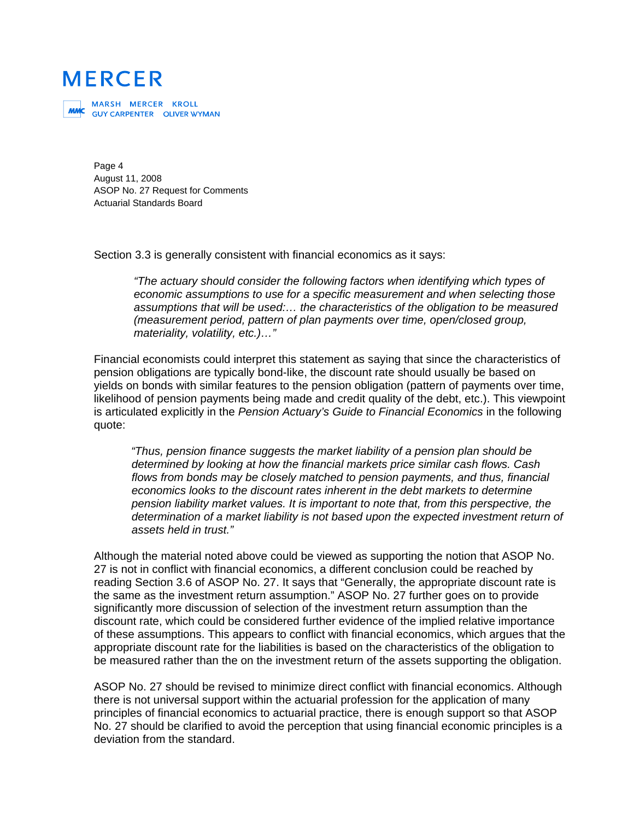MARSH MERCER KROLL<br>**MMC** GUYCARPENTER OLIVERWYMAN

Page 4 August 11, 2008 ASOP No. 27 Request for Comments Actuarial Standards Board

Section 3.3 is generally consistent with financial economics as it says:

*"The actuary should consider the following factors when identifying which types of economic assumptions to use for a specific measurement and when selecting those assumptions that will be used:… the characteristics of the obligation to be measured (measurement period, pattern of plan payments over time, open/closed group, materiality, volatility, etc.)…"* 

Financial economists could interpret this statement as saying that since the characteristics of pension obligations are typically bond-like, the discount rate should usually be based on yields on bonds with similar features to the pension obligation (pattern of payments over time, likelihood of pension payments being made and credit quality of the debt, etc.). This viewpoint is articulated explicitly in the *Pension Actuary's Guide to Financial Economics* in the following quote:

*"Thus, pension finance suggests the market liability of a pension plan should be determined by looking at how the financial markets price similar cash flows. Cash flows from bonds may be closely matched to pension payments, and thus, financial economics looks to the discount rates inherent in the debt markets to determine pension liability market values. It is important to note that, from this perspective, the determination of a market liability is not based upon the expected investment return of assets held in trust."* 

Although the material noted above could be viewed as supporting the notion that ASOP No. 27 is not in conflict with financial economics, a different conclusion could be reached by reading Section 3.6 of ASOP No. 27. It says that "Generally, the appropriate discount rate is the same as the investment return assumption." ASOP No. 27 further goes on to provide significantly more discussion of selection of the investment return assumption than the discount rate, which could be considered further evidence of the implied relative importance of these assumptions. This appears to conflict with financial economics, which argues that the appropriate discount rate for the liabilities is based on the characteristics of the obligation to be measured rather than the on the investment return of the assets supporting the obligation.

ASOP No. 27 should be revised to minimize direct conflict with financial economics. Although there is not universal support within the actuarial profession for the application of many principles of financial economics to actuarial practice, there is enough support so that ASOP No. 27 should be clarified to avoid the perception that using financial economic principles is a deviation from the standard.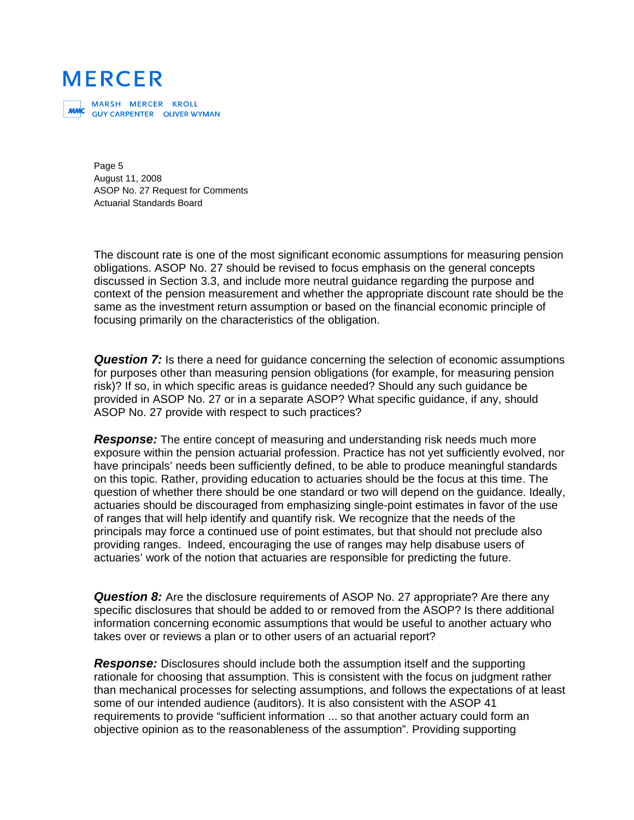MARSH MERCER KROLL<br>**MMC** GUYCARPENTER OLIVERWYMAN

Page 5 August 11, 2008 ASOP No. 27 Request for Comments Actuarial Standards Board

The discount rate is one of the most significant economic assumptions for measuring pension obligations. ASOP No. 27 should be revised to focus emphasis on the general concepts discussed in Section 3.3, and include more neutral guidance regarding the purpose and context of the pension measurement and whether the appropriate discount rate should be the same as the investment return assumption or based on the financial economic principle of focusing primarily on the characteristics of the obligation.

**Question 7:** Is there a need for quidance concerning the selection of economic assumptions for purposes other than measuring pension obligations (for example, for measuring pension risk)? If so, in which specific areas is guidance needed? Should any such guidance be provided in ASOP No. 27 or in a separate ASOP? What specific guidance, if any, should ASOP No. 27 provide with respect to such practices?

*Response:* The entire concept of measuring and understanding risk needs much more exposure within the pension actuarial profession. Practice has not yet sufficiently evolved, nor have principals' needs been sufficiently defined, to be able to produce meaningful standards on this topic. Rather, providing education to actuaries should be the focus at this time. The question of whether there should be one standard or two will depend on the guidance. Ideally, actuaries should be discouraged from emphasizing single-point estimates in favor of the use of ranges that will help identify and quantify risk. We recognize that the needs of the principals may force a continued use of point estimates, but that should not preclude also providing ranges. Indeed, encouraging the use of ranges may help disabuse users of actuaries' work of the notion that actuaries are responsible for predicting the future.

**Question 8:** Are the disclosure requirements of ASOP No. 27 appropriate? Are there any specific disclosures that should be added to or removed from the ASOP? Is there additional information concerning economic assumptions that would be useful to another actuary who takes over or reviews a plan or to other users of an actuarial report?

*Response:* Disclosures should include both the assumption itself and the supporting rationale for choosing that assumption. This is consistent with the focus on judgment rather than mechanical processes for selecting assumptions, and follows the expectations of at least some of our intended audience (auditors). It is also consistent with the ASOP 41 requirements to provide "sufficient information ... so that another actuary could form an objective opinion as to the reasonableness of the assumption". Providing supporting